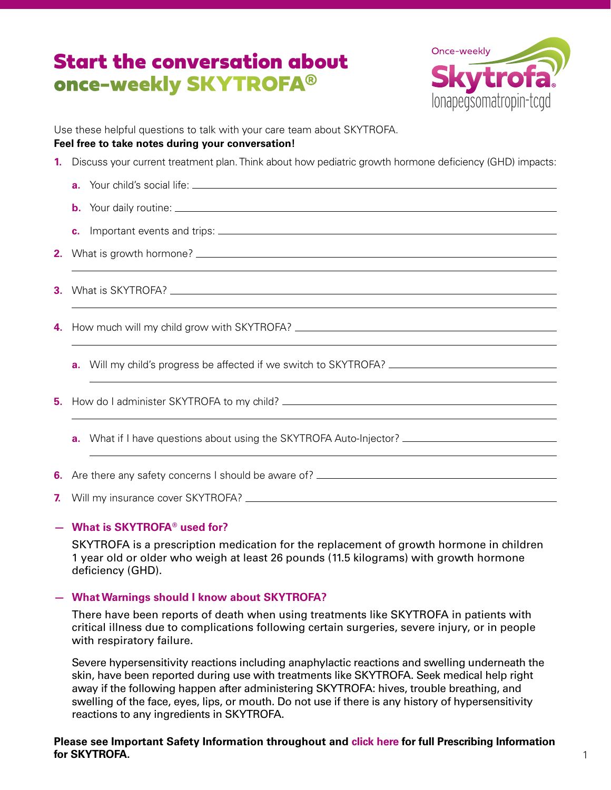# Start the conversation about once-weekly SKYTROFA®



Use these helpful questions to talk with your care team about SKYTROFA.

#### **Feel free to take notes during your conversation!**

| 1.           | Discuss your current treatment plan. Think about how pediatric growth hormone deficiency (GHD) impacts:         |
|--------------|-----------------------------------------------------------------------------------------------------------------|
|              |                                                                                                                 |
|              |                                                                                                                 |
|              | $\mathbf{c}$ .                                                                                                  |
| 2.           |                                                                                                                 |
| 3.           |                                                                                                                 |
| 4.           |                                                                                                                 |
|              | a <sub>r</sub>                                                                                                  |
| 5.           |                                                                                                                 |
|              | What if I have questions about using the SKYTROFA Auto-Injector? ___________________________________<br>$a_{-}$ |
| 6.           |                                                                                                                 |
| $\mathbf{z}$ |                                                                                                                 |

### **— What is SKYTROFA® used for?**

SKYTROFA is a prescription medication for the replacement of growth hormone in children 1 year old or older who weigh at least 26 pounds (11.5 kilograms) with growth hormone deficiency (GHD).

### **— What Warnings should I know about SKYTROFA?**

There have been reports of death when using treatments like SKYTROFA in patients with critical illness due to complications following certain surgeries, severe injury, or in people with respiratory failure.

Severe hypersensitivity reactions including anaphylactic reactions and swelling underneath the skin, have been reported during use with treatments like SKYTROFA. Seek medical help right away if the following happen after administering SKYTROFA: hives, trouble breathing, and swelling of the face, eyes, lips, or mouth. Do not use if there is any history of hypersensitivity reactions to any ingredients in SKYTROFA.

### **Please see Important Safety Information throughout an[d click here](http://ascendispharma.us/products/pi/skytrofa/skytrofa_pi.pdf) for full Prescribing Information for SKYTROFA.**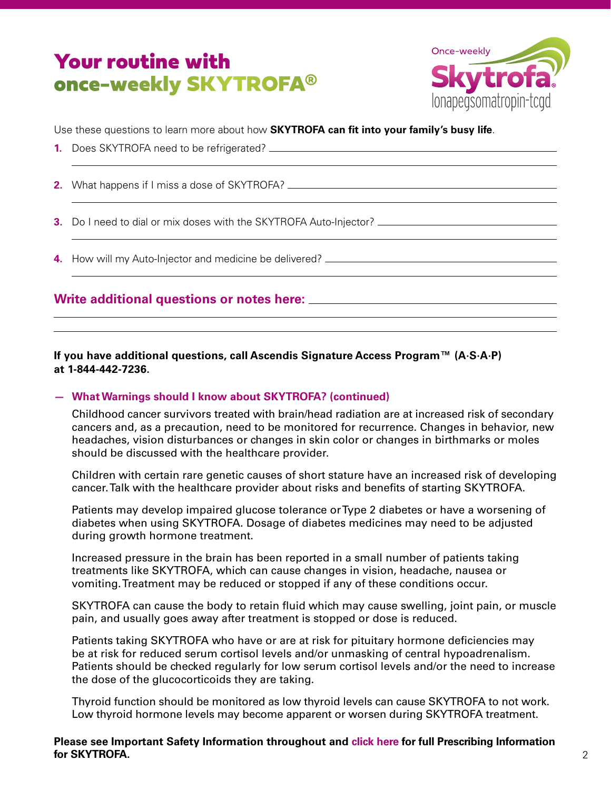# Your routine with once-weekly SKYTROFA®



Use these questions to learn more about how **SKYTROFA can fit into your family's busy life**.

- **1.** Does SKYTROFA need to be refrigerated?
	- **2.** What happens if I miss a dose of SKYTROFA?
	- **3.** Do I need to dial or mix doses with the SKYTROFA Auto-Injector?
	- **4.** How will my Auto-Injector and medicine be delivered?

# **Write additional questions or notes here:**

**If you have additional questions, call Ascendis Signature Access Program™ (A·S·A·P) at 1-844-442-7236.**

### **— What Warnings should I know about SKYTROFA? (continued)**

Childhood cancer survivors treated with brain/head radiation are at increased risk of secondary cancers and, as a precaution, need to be monitored for recurrence. Changes in behavior, new headaches, vision disturbances or changes in skin color or changes in birthmarks or moles should be discussed with the healthcare provider.

Children with certain rare genetic causes of short stature have an increased risk of developing cancer. Talk with the healthcare provider about risks and benefits of starting SKYTROFA.

Patients may develop impaired glucose tolerance or Type 2 diabetes or have a worsening of diabetes when using SKYTROFA. Dosage of diabetes medicines may need to be adjusted during growth hormone treatment.

Increased pressure in the brain has been reported in a small number of patients taking treatments like SKYTROFA, which can cause changes in vision, headache, nausea or vomiting. Treatment may be reduced or stopped if any of these conditions occur.

SKYTROFA can cause the body to retain fluid which may cause swelling, joint pain, or muscle pain, and usually goes away after treatment is stopped or dose is reduced.

Patients taking SKYTROFA who have or are at risk for pituitary hormone deficiencies may be at risk for reduced serum cortisol levels and/or unmasking of central hypoadrenalism. Patients should be checked regularly for low serum cortisol levels and/or the need to increase the dose of the glucocorticoids they are taking.

Thyroid function should be monitored as low thyroid levels can cause SKYTROFA to not work. Low thyroid hormone levels may become apparent or worsen during SKYTROFA treatment.

### **Please see Important Safety Information throughout an[d click here](http://ascendispharma.us/products/pi/skytrofa/skytrofa_pi.pdf) for full Prescribing Information for SKYTROFA.**